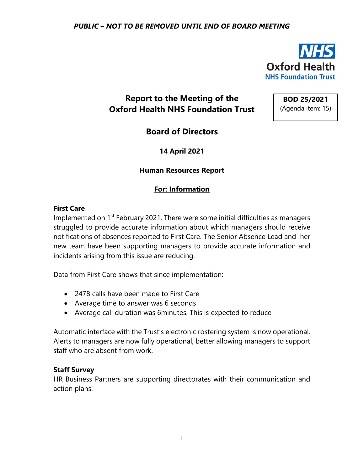

# **Report to the Meeting of the Oxford Health NHS Foundation Trust**

**BOD 25/2021** (Agenda item: 15)

**Board of Directors**

**14 April 2021**

#### **Human Resources Report**

## **For: Information**

#### **First Care**

Implemented on 1<sup>st</sup> February 2021. There were some initial difficulties as managers struggled to provide accurate information about which managers should receive notifications of absences reported to First Care. The Senior Absence Lead and her new team have been supporting managers to provide accurate information and incidents arising from this issue are reducing.

Data from First Care shows that since implementation:

- 2478 calls have been made to First Care
- Average time to answer was 6 seconds
- Average call duration was 6minutes. This is expected to reduce

Automatic interface with the Trust's electronic rostering system is now operational. Alerts to managers are now fully operational, better allowing managers to support staff who are absent from work.

#### **Staff Survey**

HR Business Partners are supporting directorates with their communication and action plans.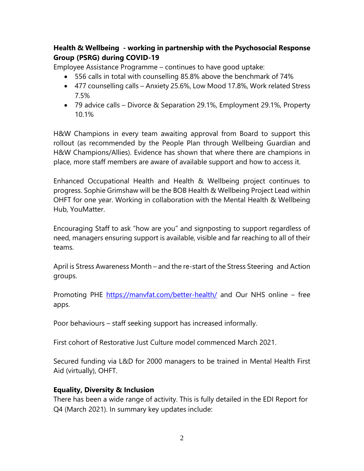# **Health & Wellbeing - working in partnership with the Psychosocial Response Group (PSRG) during COVID-19**

Employee Assistance Programme – continues to have good uptake:

- 556 calls in total with counselling 85.8% above the benchmark of 74%
- 477 counselling calls Anxiety 25.6%, Low Mood 17.8%, Work related Stress 7.5%
- 79 advice calls Divorce & Separation 29.1%, Employment 29.1%, Property 10.1%

H&W Champions in every team awaiting approval from Board to support this rollout (as recommended by the People Plan through Wellbeing Guardian and H&W Champions/Allies). Evidence has shown that where there are champions in place, more staff members are aware of available support and how to access it.

Enhanced Occupational Health and Health & Wellbeing project continues to progress. Sophie Grimshaw will be the BOB Health & Wellbeing Project Lead within OHFT for one year. Working in collaboration with the Mental Health & Wellbeing Hub, YouMatter.

Encouraging Staff to ask "how are you" and signposting to support regardless of need, managers ensuring support is available, visible and far reaching to all of their teams.

April is Stress Awareness Month – and the re-start of the Stress Steering and Action groups.

Promoting PHE<https://manvfat.com/better-health/> and Our NHS online – free apps.

Poor behaviours – staff seeking support has increased informally.

First cohort of Restorative Just Culture model commenced March 2021.

Secured funding via L&D for 2000 managers to be trained in Mental Health First Aid (virtually), OHFT.

#### **Equality, Diversity & Inclusion**

There has been a wide range of activity. This is fully detailed in the EDI Report for Q4 (March 2021). In summary key updates include: